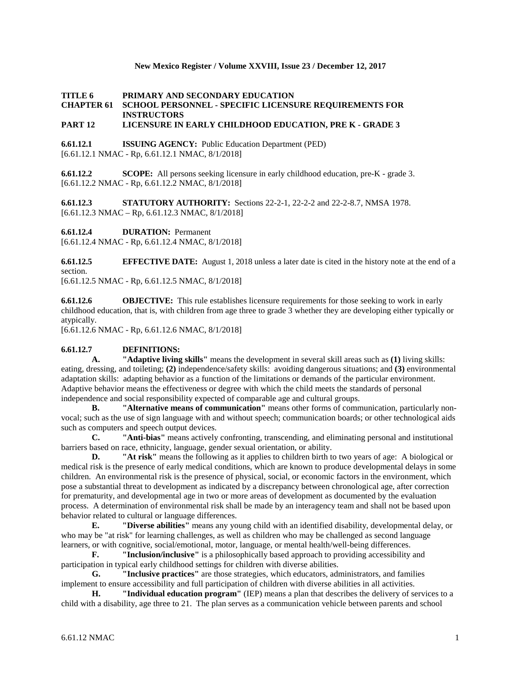### **New Mexico Register / Volume XXVIII, Issue 23 / December 12, 2017**

### **TITLE 6 PRIMARY AND SECONDARY EDUCATION CHAPTER 61 SCHOOL PERSONNEL - SPECIFIC LICENSURE REQUIREMENTS FOR INSTRUCTORS**

## **PART 12 LICENSURE IN EARLY CHILDHOOD EDUCATION, PRE K - GRADE 3**

**6.61.12.1 ISSUING AGENCY:** Public Education Department (PED) [6.61.12.1 NMAC - Rp, 6.61.12.1 NMAC, 8/1/2018]

**6.61.12.2 SCOPE:** All persons seeking licensure in early childhood education, pre-K - grade 3. [6.61.12.2 NMAC - Rp, 6.61.12.2 NMAC, 8/1/2018]

**6.61.12.3 STATUTORY AUTHORITY:** Sections 22-2-1, 22-2-2 and 22-2-8.7, NMSA 1978. [6.61.12.3 NMAC – Rp, 6.61.12.3 NMAC, 8/1/2018]

**6.61.12.4 DURATION:** Permanent

[6.61.12.4 NMAC - Rp, 6.61.12.4 NMAC, 8/1/2018]

**6.61.12.5 EFFECTIVE DATE:** August 1, 2018 unless a later date is cited in the history note at the end of a section.

[6.61.12.5 NMAC - Rp, 6.61.12.5 NMAC, 8/1/2018]

**6.61.12.6 OBJECTIVE:** This rule establishes licensure requirements for those seeking to work in early childhood education, that is, with children from age three to grade 3 whether they are developing either typically or atypically.

[6.61.12.6 NMAC - Rp, 6.61.12.6 NMAC, 8/1/2018]

# **6.61.12.7 DEFINITIONS:**

**A. "Adaptive living skills"** means the development in several skill areas such as **(1)** living skills: eating, dressing, and toileting; **(2)** independence/safety skills: avoiding dangerous situations; and **(3)** environmental adaptation skills: adapting behavior as a function of the limitations or demands of the particular environment. Adaptive behavior means the effectiveness or degree with which the child meets the standards of personal independence and social responsibility expected of comparable age and cultural groups.

**B. "Alternative means of communication"** means other forms of communication, particularly nonvocal; such as the use of sign language with and without speech; communication boards; or other technological aids such as computers and speech output devices.

**C. "Anti-bias"** means actively confronting, transcending, and eliminating personal and institutional barriers based on race, ethnicity, language, gender sexual orientation, or ability.

**D. "At risk"** means the following as it applies to children birth to two years of age: A biological or medical risk is the presence of early medical conditions, which are known to produce developmental delays in some children. An environmental risk is the presence of physical, social, or economic factors in the environment, which pose a substantial threat to development as indicated by a discrepancy between chronological age, after correction for prematurity, and developmental age in two or more areas of development as documented by the evaluation process. A determination of environmental risk shall be made by an interagency team and shall not be based upon behavior related to cultural or language differences.

**E. "Diverse abilities"** means any young child with an identified disability, developmental delay, or who may be "at risk" for learning challenges, as well as children who may be challenged as second language learners, or with cognitive, social/emotional, motor, language, or mental health/well-being differences.

**F. "Inclusion/inclusive"** is a philosophically based approach to providing accessibility and participation in typical early childhood settings for children with diverse abilities.

**G. "Inclusive practices"** are those strategies, which educators, administrators, and families implement to ensure accessibility and full participation of children with diverse abilities in all activities.

**H. "Individual education program"** (IEP) means a plan that describes the delivery of services to a child with a disability, age three to 21. The plan serves as a communication vehicle between parents and school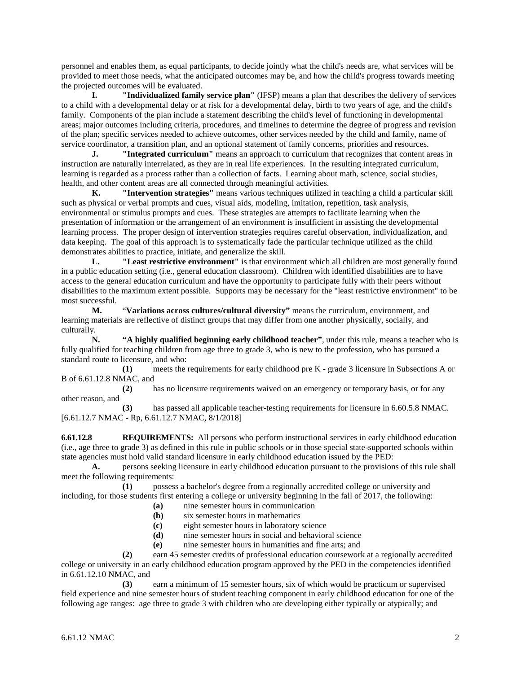personnel and enables them, as equal participants, to decide jointly what the child's needs are, what services will be provided to meet those needs, what the anticipated outcomes may be, and how the child's progress towards meeting the projected outcomes will be evaluated.

**I. "Individualized family service plan"** (IFSP) means a plan that describes the delivery of services to a child with a developmental delay or at risk for a developmental delay, birth to two years of age, and the child's family. Components of the plan include a statement describing the child's level of functioning in developmental areas; major outcomes including criteria, procedures, and timelines to determine the degree of progress and revision of the plan; specific services needed to achieve outcomes, other services needed by the child and family, name of service coordinator, a transition plan, and an optional statement of family concerns, priorities and resources.

**J. "Integrated curriculum"** means an approach to curriculum that recognizes that content areas in instruction are naturally interrelated, as they are in real life experiences. In the resulting integrated curriculum, learning is regarded as a process rather than a collection of facts. Learning about math, science, social studies, health, and other content areas are all connected through meaningful activities.

**K. "Intervention strategies"** means various techniques utilized in teaching a child a particular skill such as physical or verbal prompts and cues, visual aids, modeling, imitation, repetition, task analysis, environmental or stimulus prompts and cues. These strategies are attempts to facilitate learning when the presentation of information or the arrangement of an environment is insufficient in assisting the developmental learning process. The proper design of intervention strategies requires careful observation, individualization, and data keeping. The goal of this approach is to systematically fade the particular technique utilized as the child demonstrates abilities to practice, initiate, and generalize the skill.

**L. "Least restrictive environment"** is that environment which all children are most generally found in a public education setting (i.e., general education classroom). Children with identified disabilities are to have access to the general education curriculum and have the opportunity to participate fully with their peers without disabilities to the maximum extent possible. Supports may be necessary for the "least restrictive environment" to be most successful.

**M.** "**Variations across cultures/cultural diversity"** means the curriculum, environment, and learning materials are reflective of distinct groups that may differ from one another physically, socially, and culturally.

**N. "A highly qualified beginning early childhood teacher"**, under this rule, means a teacher who is fully qualified for teaching children from age three to grade 3, who is new to the profession, who has pursued a standard route to licensure, and who:

**(1)** meets the requirements for early childhood pre K - grade 3 licensure in Subsections A or B of 6.61.12.8 NMAC, and

**(2)** has no licensure requirements waived on an emergency or temporary basis, or for any other reason, and

**(3)** has passed all applicable teacher-testing requirements for licensure in 6.60.5.8 NMAC. [6.61.12.7 NMAC - Rp, 6.61.12.7 NMAC, 8/1/2018]

**6.61.12.8 REQUIREMENTS:** All persons who perform instructional services in early childhood education (i.e., age three to grade 3) as defined in this rule in public schools or in those special state-supported schools within state agencies must hold valid standard licensure in early childhood education issued by the PED:

**A.** persons seeking licensure in early childhood education pursuant to the provisions of this rule shall meet the following requirements:

**(1)** possess a bachelor's degree from a regionally accredited college or university and including, for those students first entering a college or university beginning in the fall of 2017, the following:

- **(a)** nine semester hours in communication
- **(b)** six semester hours in mathematics
- **(c)** eight semester hours in laboratory science
- **(d)** nine semester hours in social and behavioral science
- **(e)** nine semester hours in humanities and fine arts; and

**(2)** earn 45 semester credits of professional education coursework at a regionally accredited college or university in an early childhood education program approved by the PED in the competencies identified in 6.61.12.10 NMAC, and

**(3)** earn a minimum of 15 semester hours, six of which would be practicum or supervised field experience and nine semester hours of student teaching component in early childhood education for one of the following age ranges: age three to grade 3 with children who are developing either typically or atypically; and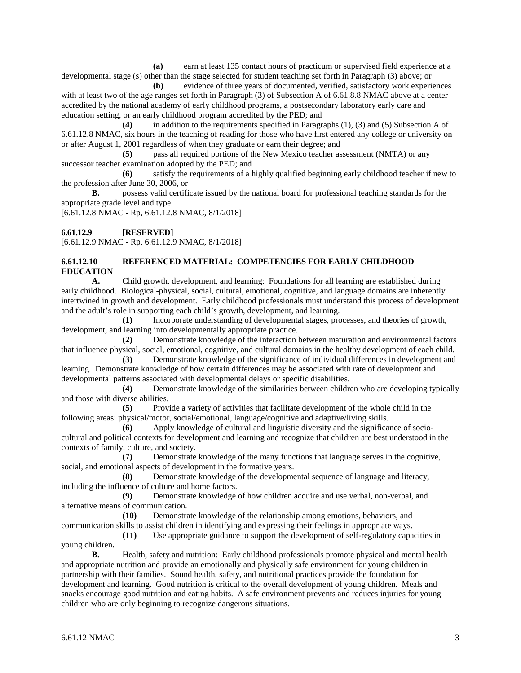**(a)** earn at least 135 contact hours of practicum or supervised field experience at a developmental stage (s) other than the stage selected for student teaching set forth in Paragraph (3) above; or

**(b)** evidence of three years of documented, verified, satisfactory work experiences with at least two of the age ranges set forth in Paragraph (3) of Subsection A of 6.61.8.8 NMAC above at a center accredited by the national academy of early childhood programs, a postsecondary laboratory early care and education setting, or an early childhood program accredited by the PED; and

**(4)** in addition to the requirements specified in Paragraphs (1), (3) and (5) Subsection A of 6.61.12.8 NMAC, six hours in the teaching of reading for those who have first entered any college or university on or after August 1, 2001 regardless of when they graduate or earn their degree; and

**(5)** pass all required portions of the New Mexico teacher assessment (NMTA) or any successor teacher examination adopted by the PED; and

**(6)** satisfy the requirements of a highly qualified beginning early childhood teacher if new to the profession after June 30, 2006, or

**B.** possess valid certificate issued by the national board for professional teaching standards for the appropriate grade level and type.

[6.61.12.8 NMAC - Rp, 6.61.12.8 NMAC, 8/1/2018]

**6.61.12.9 [RESERVED]**

[6.61.12.9 NMAC - Rp, 6.61.12.9 NMAC, 8/1/2018]

#### **6.61.12.10 REFERENCED MATERIAL: COMPETENCIES FOR EARLY CHILDHOOD EDUCATION**

**A.** Child growth, development, and learning: Foundations for all learning are established during early childhood. Biological-physical, social, cultural, emotional, cognitive, and language domains are inherently intertwined in growth and development. Early childhood professionals must understand this process of development and the adult's role in supporting each child's growth, development, and learning.

**(1)** Incorporate understanding of developmental stages, processes, and theories of growth, development, and learning into developmentally appropriate practice.

**(2)** Demonstrate knowledge of the interaction between maturation and environmental factors that influence physical, social, emotional, cognitive, and cultural domains in the healthy development of each child.

**(3)** Demonstrate knowledge of the significance of individual differences in development and learning. Demonstrate knowledge of how certain differences may be associated with rate of development and developmental patterns associated with developmental delays or specific disabilities.

**(4)** Demonstrate knowledge of the similarities between children who are developing typically and those with diverse abilities.

**(5)** Provide a variety of activities that facilitate development of the whole child in the following areas: physical/motor, social/emotional, language/cognitive and adaptive/living skills.

**(6)** Apply knowledge of cultural and linguistic diversity and the significance of sociocultural and political contexts for development and learning and recognize that children are best understood in the contexts of family, culture, and society.

**(7)** Demonstrate knowledge of the many functions that language serves in the cognitive, social, and emotional aspects of development in the formative years.

**(8)** Demonstrate knowledge of the developmental sequence of language and literacy, including the influence of culture and home factors.

**(9)** Demonstrate knowledge of how children acquire and use verbal, non-verbal, and alternative means of communication.

**(10)** Demonstrate knowledge of the relationship among emotions, behaviors, and communication skills to assist children in identifying and expressing their feelings in appropriate ways.

**(11)** Use appropriate guidance to support the development of self-regulatory capacities in young children.

**B.** Health, safety and nutrition: Early childhood professionals promote physical and mental health and appropriate nutrition and provide an emotionally and physically safe environment for young children in partnership with their families. Sound health, safety, and nutritional practices provide the foundation for development and learning. Good nutrition is critical to the overall development of young children. Meals and snacks encourage good nutrition and eating habits. A safe environment prevents and reduces injuries for young children who are only beginning to recognize dangerous situations.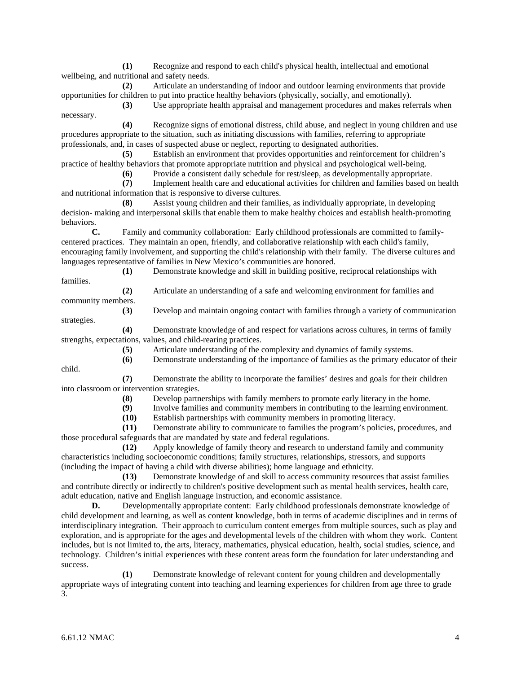**(1)** Recognize and respond to each child's physical health, intellectual and emotional wellbeing, and nutritional and safety needs.

**(2)** Articulate an understanding of indoor and outdoor learning environments that provide opportunities for children to put into practice healthy behaviors (physically, socially, and emotionally).

**(3)** Use appropriate health appraisal and management procedures and makes referrals when necessary.

**(4)** Recognize signs of emotional distress, child abuse, and neglect in young children and use procedures appropriate to the situation, such as initiating discussions with families, referring to appropriate professionals, and, in cases of suspected abuse or neglect, reporting to designated authorities.

**(5)** Establish an environment that provides opportunities and reinforcement for children's practice of healthy behaviors that promote appropriate nutrition and physical and psychological well-being.

**(6)** Provide a consistent daily schedule for rest/sleep, as developmentally appropriate.

**(7)** Implement health care and educational activities for children and families based on health and nutritional information that is responsive to diverse cultures.

**(8)** Assist young children and their families, as individually appropriate, in developing decision- making and interpersonal skills that enable them to make healthy choices and establish health-promoting behaviors.

**C.** Family and community collaboration: Early childhood professionals are committed to familycentered practices. They maintain an open, friendly, and collaborative relationship with each child's family, encouraging family involvement, and supporting the child's relationship with their family. The diverse cultures and languages representative of families in New Mexico's communities are honored.

families.

**(1)** Demonstrate knowledge and skill in building positive, reciprocal relationships with

**(2)** Articulate an understanding of a safe and welcoming environment for families and community members.

**(3)** Develop and maintain ongoing contact with families through a variety of communication strategies.

**(4)** Demonstrate knowledge of and respect for variations across cultures, in terms of family strengths, expectations, values, and child-rearing practices.

**(5)** Articulate understanding of the complexity and dynamics of family systems.

**(6)** Demonstrate understanding of the importance of families as the primary educator of their

child.

**(7)** Demonstrate the ability to incorporate the families' desires and goals for their children into classroom or intervention strategies.

**(8)** Develop partnerships with family members to promote early literacy in the home.

**(9)** Involve families and community members in contributing to the learning environment.

**(10)** Establish partnerships with community members in promoting literacy.

**(11)** Demonstrate ability to communicate to families the program's policies, procedures, and those procedural safeguards that are mandated by state and federal regulations.

**(12)** Apply knowledge of family theory and research to understand family and community characteristics including socioeconomic conditions; family structures, relationships, stressors, and supports (including the impact of having a child with diverse abilities); home language and ethnicity.

**(13)** Demonstrate knowledge of and skill to access community resources that assist families and contribute directly or indirectly to children's positive development such as mental health services, health care, adult education, native and English language instruction, and economic assistance.

**D.** Developmentally appropriate content: Early childhood professionals demonstrate knowledge of child development and learning, as well as content knowledge, both in terms of academic disciplines and in terms of interdisciplinary integration. Their approach to curriculum content emerges from multiple sources, such as play and exploration, and is appropriate for the ages and developmental levels of the children with whom they work. Content includes, but is not limited to, the arts, literacy, mathematics, physical education, health, social studies, science, and technology. Children's initial experiences with these content areas form the foundation for later understanding and success.

**(1)** Demonstrate knowledge of relevant content for young children and developmentally appropriate ways of integrating content into teaching and learning experiences for children from age three to grade 3.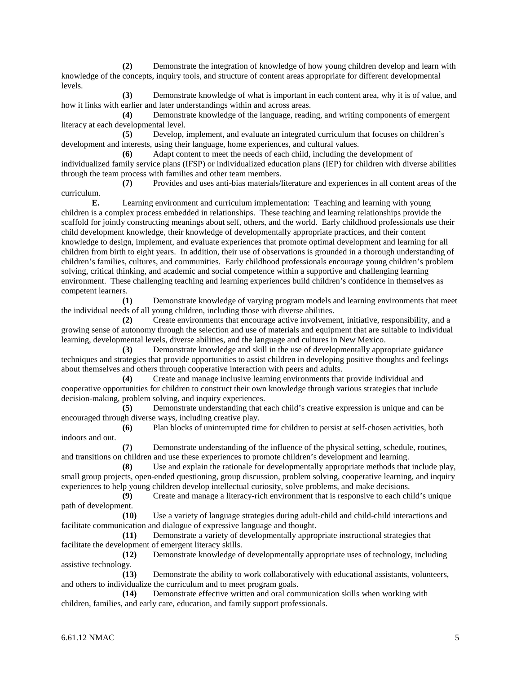**(2)** Demonstrate the integration of knowledge of how young children develop and learn with knowledge of the concepts, inquiry tools, and structure of content areas appropriate for different developmental levels.

**(3)** Demonstrate knowledge of what is important in each content area, why it is of value, and how it links with earlier and later understandings within and across areas.

**(4)** Demonstrate knowledge of the language, reading, and writing components of emergent literacy at each developmental level.

**(5)** Develop, implement, and evaluate an integrated curriculum that focuses on children's development and interests, using their language, home experiences, and cultural values.

**(6)** Adapt content to meet the needs of each child, including the development of individualized family service plans (IFSP) or individualized education plans (IEP) for children with diverse abilities through the team process with families and other team members.

**(7)** Provides and uses anti-bias materials/literature and experiences in all content areas of the curriculum.

**E.** Learning environment and curriculum implementation: Teaching and learning with young children is a complex process embedded in relationships. These teaching and learning relationships provide the scaffold for jointly constructing meanings about self, others, and the world. Early childhood professionals use their child development knowledge, their knowledge of developmentally appropriate practices, and their content knowledge to design, implement, and evaluate experiences that promote optimal development and learning for all children from birth to eight years. In addition, their use of observations is grounded in a thorough understanding of children's families, cultures, and communities. Early childhood professionals encourage young children's problem solving, critical thinking, and academic and social competence within a supportive and challenging learning environment. These challenging teaching and learning experiences build children's confidence in themselves as competent learners.

**(1)** Demonstrate knowledge of varying program models and learning environments that meet the individual needs of all young children, including those with diverse abilities.

**(2)** Create environments that encourage active involvement, initiative, responsibility, and a growing sense of autonomy through the selection and use of materials and equipment that are suitable to individual learning, developmental levels, diverse abilities, and the language and cultures in New Mexico.

**(3)** Demonstrate knowledge and skill in the use of developmentally appropriate guidance techniques and strategies that provide opportunities to assist children in developing positive thoughts and feelings about themselves and others through cooperative interaction with peers and adults.

**(4)** Create and manage inclusive learning environments that provide individual and cooperative opportunities for children to construct their own knowledge through various strategies that include decision-making, problem solving, and inquiry experiences.

**(5)** Demonstrate understanding that each child's creative expression is unique and can be encouraged through diverse ways, including creative play.

**(6)** Plan blocks of uninterrupted time for children to persist at self-chosen activities, both indoors and out.

**(7)** Demonstrate understanding of the influence of the physical setting, schedule, routines, and transitions on children and use these experiences to promote children's development and learning.

**(8)** Use and explain the rationale for developmentally appropriate methods that include play, small group projects, open-ended questioning, group discussion, problem solving, cooperative learning, and inquiry experiences to help young children develop intellectual curiosity, solve problems, and make decisions.

**(9)** Create and manage a literacy-rich environment that is responsive to each child's unique path of development.

**(10)** Use a variety of language strategies during adult-child and child-child interactions and facilitate communication and dialogue of expressive language and thought.

**(11)** Demonstrate a variety of developmentally appropriate instructional strategies that facilitate the development of emergent literacy skills.

**(12)** Demonstrate knowledge of developmentally appropriate uses of technology, including assistive technology.

**(13)** Demonstrate the ability to work collaboratively with educational assistants, volunteers, and others to individualize the curriculum and to meet program goals.<br>(14) Demonstrate effective written and oral com

**(14)** Demonstrate effective written and oral communication skills when working with children, families, and early care, education, and family support professionals.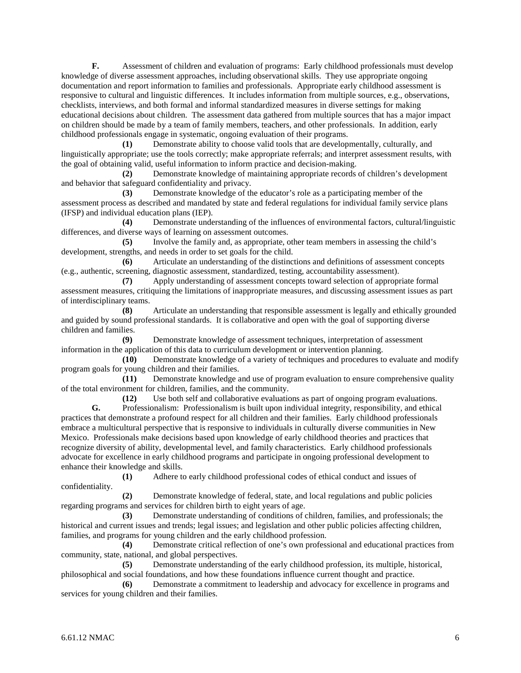**F.** Assessment of children and evaluation of programs: Early childhood professionals must develop knowledge of diverse assessment approaches, including observational skills. They use appropriate ongoing documentation and report information to families and professionals. Appropriate early childhood assessment is responsive to cultural and linguistic differences. It includes information from multiple sources, e.g., observations, checklists, interviews, and both formal and informal standardized measures in diverse settings for making educational decisions about children. The assessment data gathered from multiple sources that has a major impact on children should be made by a team of family members, teachers, and other professionals. In addition, early childhood professionals engage in systematic, ongoing evaluation of their programs.

**(1)** Demonstrate ability to choose valid tools that are developmentally, culturally, and linguistically appropriate; use the tools correctly; make appropriate referrals; and interpret assessment results, with the goal of obtaining valid, useful information to inform practice and decision-making.

**(2)** Demonstrate knowledge of maintaining appropriate records of children's development and behavior that safeguard confidentiality and privacy.

**(3)** Demonstrate knowledge of the educator's role as a participating member of the assessment process as described and mandated by state and federal regulations for individual family service plans (IFSP) and individual education plans (IEP).

**(4)** Demonstrate understanding of the influences of environmental factors, cultural/linguistic differences, and diverse ways of learning on assessment outcomes.

**(5)** Involve the family and, as appropriate, other team members in assessing the child's development, strengths, and needs in order to set goals for the child.

**(6)** Articulate an understanding of the distinctions and definitions of assessment concepts (e.g., authentic, screening, diagnostic assessment, standardized, testing, accountability assessment).

**(7)** Apply understanding of assessment concepts toward selection of appropriate formal assessment measures, critiquing the limitations of inappropriate measures, and discussing assessment issues as part of interdisciplinary teams.

**(8)** Articulate an understanding that responsible assessment is legally and ethically grounded and guided by sound professional standards. It is collaborative and open with the goal of supporting diverse children and families.

**(9)** Demonstrate knowledge of assessment techniques, interpretation of assessment information in the application of this data to curriculum development or intervention planning.

**(10)** Demonstrate knowledge of a variety of techniques and procedures to evaluate and modify program goals for young children and their families.

**(11)** Demonstrate knowledge and use of program evaluation to ensure comprehensive quality of the total environment for children, families, and the community.

**(12)** Use both self and collaborative evaluations as part of ongoing program evaluations. **G.** Professionalism: Professionalism is built upon individual integrity, responsibility, and ethical practices that demonstrate a profound respect for all children and their families. Early childhood professionals embrace a multicultural perspective that is responsive to individuals in culturally diverse communities in New Mexico. Professionals make decisions based upon knowledge of early childhood theories and practices that recognize diversity of ability, developmental level, and family characteristics. Early childhood professionals advocate for excellence in early childhood programs and participate in ongoing professional development to enhance their knowledge and skills.

**(1)** Adhere to early childhood professional codes of ethical conduct and issues of confidentiality.

**(2)** Demonstrate knowledge of federal, state, and local regulations and public policies regarding programs and services for children birth to eight years of age.

**(3)** Demonstrate understanding of conditions of children, families, and professionals; the historical and current issues and trends; legal issues; and legislation and other public policies affecting children, families, and programs for young children and the early childhood profession.

**(4)** Demonstrate critical reflection of one's own professional and educational practices from community, state, national, and global perspectives.

**(5)** Demonstrate understanding of the early childhood profession, its multiple, historical, philosophical and social foundations, and how these foundations influence current thought and practice.

**(6)** Demonstrate a commitment to leadership and advocacy for excellence in programs and services for young children and their families.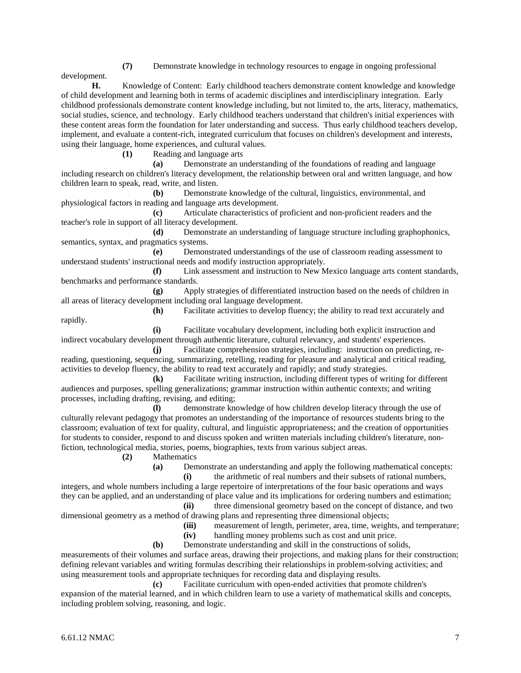**(7)** Demonstrate knowledge in technology resources to engage in ongoing professional

development.

**H.** Knowledge of Content: Early childhood teachers demonstrate content knowledge and knowledge of child development and learning both in terms of academic disciplines and interdisciplinary integration. Early childhood professionals demonstrate content knowledge including, but not limited to, the arts, literacy, mathematics, social studies, science, and technology. Early childhood teachers understand that children's initial experiences with these content areas form the foundation for later understanding and success. Thus early childhood teachers develop, implement, and evaluate a content-rich, integrated curriculum that focuses on children's development and interests, using their language, home experiences, and cultural values.

**(1)** Reading and language arts

**(a)** Demonstrate an understanding of the foundations of reading and language including research on children's literacy development, the relationship between oral and written language, and how children learn to speak, read, write, and listen.

**(b)** Demonstrate knowledge of the cultural, linguistics, environmental, and physiological factors in reading and language arts development.

**(c)** Articulate characteristics of proficient and non-proficient readers and the teacher's role in support of all literacy development.

**(d)** Demonstrate an understanding of language structure including graphophonics, semantics, syntax, and pragmatics systems.

**(e)** Demonstrated understandings of the use of classroom reading assessment to understand students' instructional needs and modify instruction appropriately.

**(f)** Link assessment and instruction to New Mexico language arts content standards, benchmarks and performance standards.

**(g)** Apply strategies of differentiated instruction based on the needs of children in all areas of literacy development including oral language development.

rapidly.

**(h)** Facilitate activities to develop fluency; the ability to read text accurately and

**(i)** Facilitate vocabulary development, including both explicit instruction and indirect vocabulary development through authentic literature, cultural relevancy, and students' experiences.

**(j)** Facilitate comprehension strategies, including: instruction on predicting, rereading, questioning, sequencing, summarizing, retelling, reading for pleasure and analytical and critical reading, activities to develop fluency, the ability to read text accurately and rapidly; and study strategies.

**(k)** Facilitate writing instruction, including different types of writing for different audiences and purposes, spelling generalizations; grammar instruction within authentic contexts; and writing processes, including drafting, revising, and editing;

**(l)** demonstrate knowledge of how children develop literacy through the use of culturally relevant pedagogy that promotes an understanding of the importance of resources students bring to the classroom; evaluation of text for quality, cultural, and linguistic appropriateness; and the creation of opportunities for students to consider, respond to and discuss spoken and written materials including children's literature, nonfiction, technological media, stories, poems, biographies, texts from various subject areas.

**(2)** Mathematics

**(a)** Demonstrate an understanding and apply the following mathematical concepts: **(i)** the arithmetic of real numbers and their subsets of rational numbers,

integers, and whole numbers including a large repertoire of interpretations of the four basic operations and ways they can be applied, and an understanding of place value and its implications for ordering numbers and estimation; **(ii)** three dimensional geometry based on the concept of distance, and two

dimensional geometry as a method of drawing plans and representing three dimensional objects;

**(iii)** measurement of length, perimeter, area, time, weights, and temperature;

**(iv)** handling money problems such as cost and unit price.

**(b)** Demonstrate understanding and skill in the constructions of solids,

measurements of their volumes and surface areas, drawing their projections, and making plans for their construction; defining relevant variables and writing formulas describing their relationships in problem-solving activities; and using measurement tools and appropriate techniques for recording data and displaying results.

**(c)** Facilitate curriculum with open-ended activities that promote children's expansion of the material learned, and in which children learn to use a variety of mathematical skills and concepts, including problem solving, reasoning, and logic.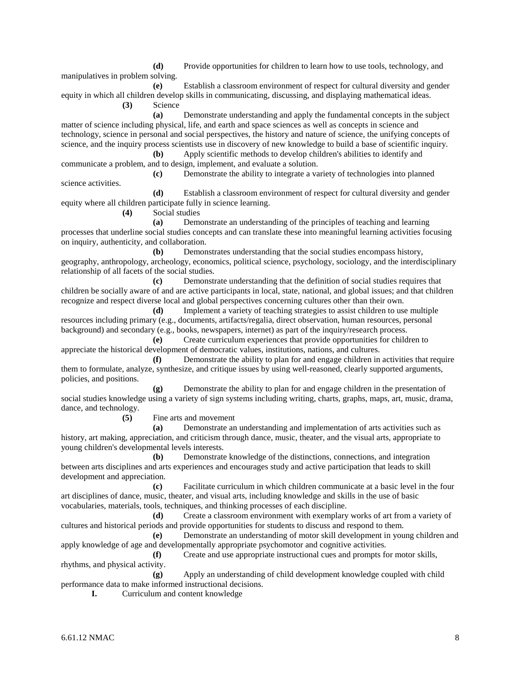**(d)** Provide opportunities for children to learn how to use tools, technology, and manipulatives in problem solving.

**(e)** Establish a classroom environment of respect for cultural diversity and gender equity in which all children develop skills in communicating, discussing, and displaying mathematical ideas. **(3)** Science

**(a)** Demonstrate understanding and apply the fundamental concepts in the subject matter of science including physical, life, and earth and space sciences as well as concepts in science and technology, science in personal and social perspectives, the history and nature of science, the unifying concepts of science, and the inquiry process scientists use in discovery of new knowledge to build a base of scientific inquiry. **(b)** Apply scientific methods to develop children's abilities to identify and

communicate a problem, and to design, implement, and evaluate a solution.

**(c)** Demonstrate the ability to integrate a variety of technologies into planned science activities. **(d)** Establish a classroom environment of respect for cultural diversity and gender

equity where all children participate fully in science learning.

**(4)** Social studies

**(a)** Demonstrate an understanding of the principles of teaching and learning processes that underline social studies concepts and can translate these into meaningful learning activities focusing on inquiry, authenticity, and collaboration.

**(b)** Demonstrates understanding that the social studies encompass history, geography, anthropology, archeology, economics, political science, psychology, sociology, and the interdisciplinary relationship of all facets of the social studies.

**(c)** Demonstrate understanding that the definition of social studies requires that children be socially aware of and are active participants in local, state, national, and global issues; and that children recognize and respect diverse local and global perspectives concerning cultures other than their own.

**(d)** Implement a variety of teaching strategies to assist children to use multiple resources including primary (e.g., documents, artifacts/regalia, direct observation, human resources, personal background) and secondary (e.g., books, newspapers, internet) as part of the inquiry/research process.

**(e)** Create curriculum experiences that provide opportunities for children to appreciate the historical development of democratic values, institutions, nations, and cultures.

**(f)** Demonstrate the ability to plan for and engage children in activities that require them to formulate, analyze, synthesize, and critique issues by using well-reasoned, clearly supported arguments, policies, and positions.

**(g)** Demonstrate the ability to plan for and engage children in the presentation of social studies knowledge using a variety of sign systems including writing, charts, graphs, maps, art, music, drama, dance, and technology.

**(5)** Fine arts and movement

**(a)** Demonstrate an understanding and implementation of arts activities such as history, art making, appreciation, and criticism through dance, music, theater, and the visual arts, appropriate to young children's developmental levels interests.

**(b)** Demonstrate knowledge of the distinctions, connections, and integration between arts disciplines and arts experiences and encourages study and active participation that leads to skill development and appreciation.

**(c)** Facilitate curriculum in which children communicate at a basic level in the four art disciplines of dance, music, theater, and visual arts, including knowledge and skills in the use of basic vocabularies, materials, tools, techniques, and thinking processes of each discipline.

**(d)** Create a classroom environment with exemplary works of art from a variety of cultures and historical periods and provide opportunities for students to discuss and respond to them.

**(e)** Demonstrate an understanding of motor skill development in young children and apply knowledge of age and developmentally appropriate psychomotor and cognitive activities.

**(f)** Create and use appropriate instructional cues and prompts for motor skills, rhythms, and physical activity.

**(g)** Apply an understanding of child development knowledge coupled with child performance data to make informed instructional decisions.

**I.** Curriculum and content knowledge